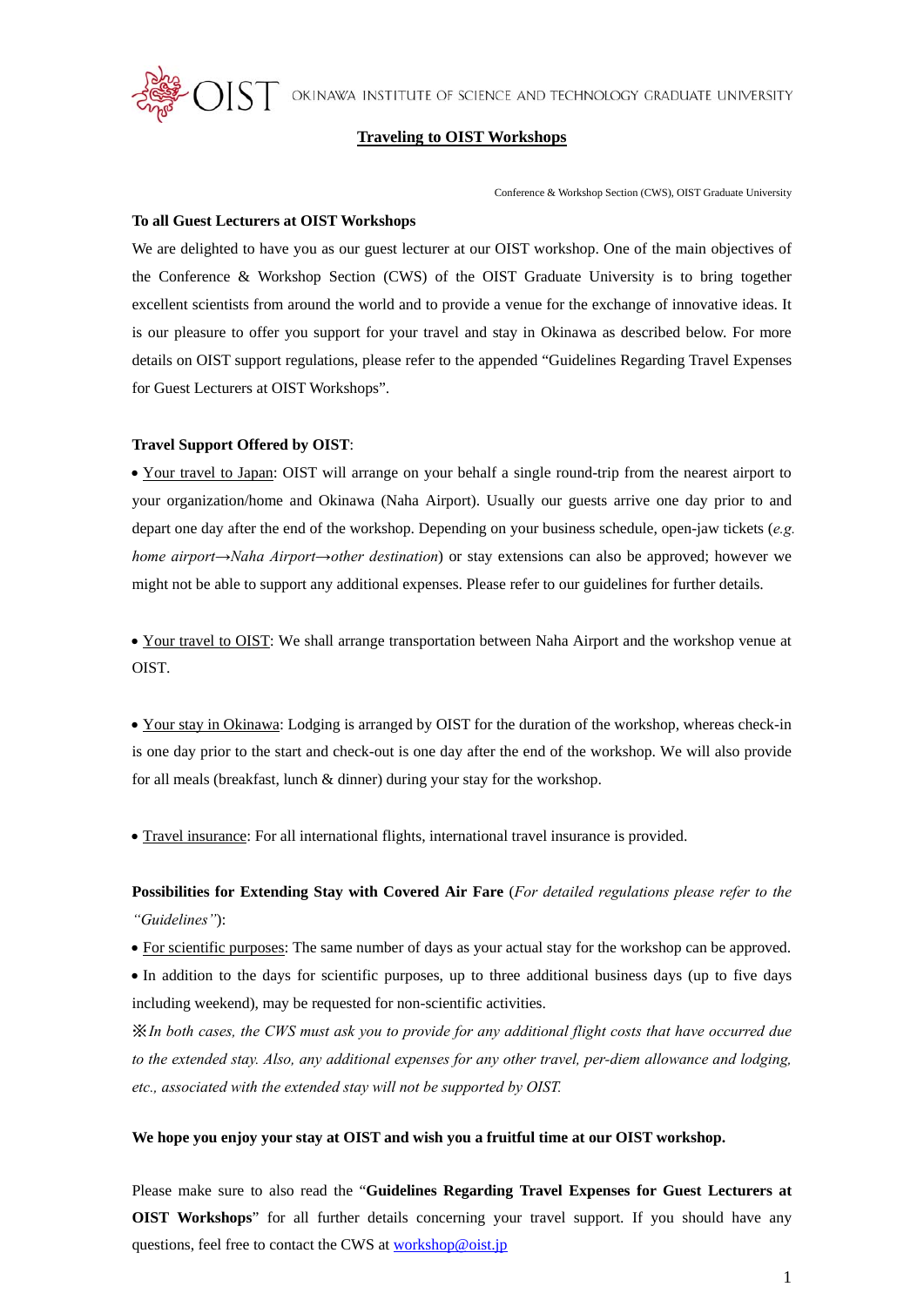$\rm{MST}$  okinawa institute of science and technology graduate university



#### **Traveling to OIST Workshops**

Conference & Workshop Section (CWS), OIST Graduate University

#### **To all Guest Lecturers at OIST Workshops**

We are delighted to have you as our guest lecturer at our OIST workshop. One of the main objectives of the Conference & Workshop Section (CWS) of the OIST Graduate University is to bring together excellent scientists from around the world and to provide a venue for the exchange of innovative ideas. It is our pleasure to offer you support for your travel and stay in Okinawa as described below. For more details on OIST support regulations, please refer to the appended "Guidelines Regarding Travel Expenses for Guest Lecturers at OIST Workshops".

#### **Travel Support Offered by OIST**:

 Your travel to Japan: OIST will arrange on your behalf a single round-trip from the nearest airport to your organization/home and Okinawa (Naha Airport). Usually our guests arrive one day prior to and depart one day after the end of the workshop. Depending on your business schedule, open-jaw tickets (*e.g. home airport→Naha Airport→other destination*) or stay extensions can also be approved; however we might not be able to support any additional expenses. Please refer to our guidelines for further details.

 Your travel to OIST: We shall arrange transportation between Naha Airport and the workshop venue at OIST.

 Your stay in Okinawa: Lodging is arranged by OIST for the duration of the workshop, whereas check-in is one day prior to the start and check-out is one day after the end of the workshop. We will also provide for all meals (breakfast, lunch & dinner) during your stay for the workshop.

Travel insurance: For all international flights, international travel insurance is provided.

# **Possibilities for Extending Stay with Covered Air Fare** (*For detailed regulations please refer to the "Guidelines"*):

For scientific purposes: The same number of days as your actual stay for the workshop can be approved.

 In addition to the days for scientific purposes, up to three additional business days (up to five days including weekend), may be requested for non-scientific activities.

※ *In both cases, the CWS must ask you to provide for any additional flight costs that have occurred due to the extended stay. Also, any additional expenses for any other travel, per-diem allowance and lodging, etc., associated with the extended stay will not be supported by OIST.* 

# **We hope you enjoy your stay at OIST and wish you a fruitful time at our OIST workshop.**

Please make sure to also read the "**Guidelines Regarding Travel Expenses for Guest Lecturers at OIST Workshops**" for all further details concerning your travel support. If you should have any questions, feel free to contact the CWS at workshop@oist.jp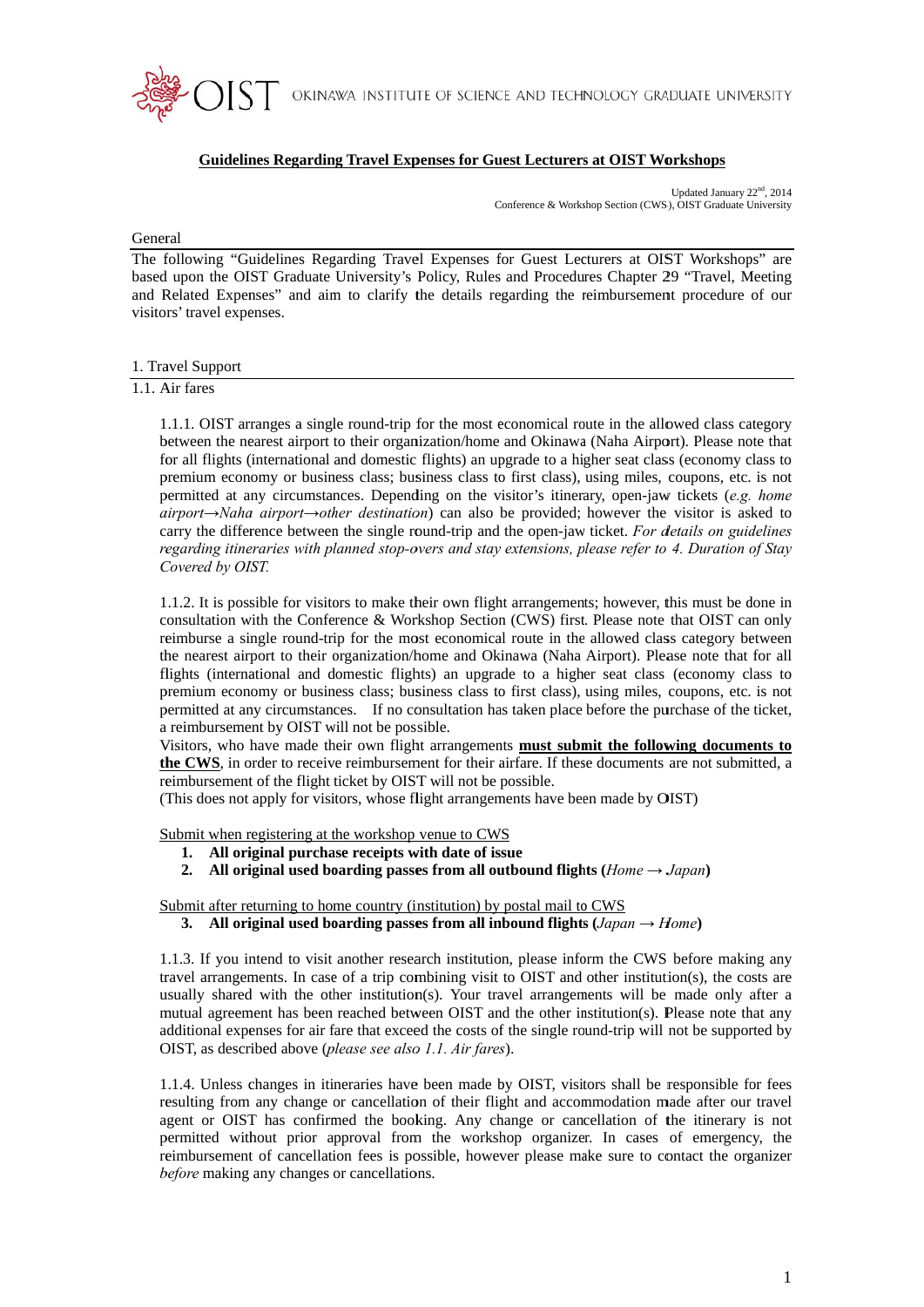

# **Guidelines Regarding Travel Expenses for Guest Lecturers at OIST Workshops**

Updated January 22<sup>nd</sup>, 2014 Conference & Workshop Section (CWS), OIST Graduate University

#### General

The following "Guidelines Regarding Travel Expenses for Guest Lecturers at OIST Workshops" are based upon the OIST Graduate University's Policy, Rules and Procedures Chapter 29 "Travel, Meeting and Related Expenses" and aim to clarify the details regarding the reimbursement procedure of our visitors' travel expenses.

#### 1. Travel Support

1.1. Air fares

1.1.1. OIST arranges a single round-trip for the most economical route in the allowed class category between the nearest airport to their organization/home and Okinawa (Naha Airport). Please note that for all flights (international and domestic flights) an upgrade to a higher seat class (economy class to premium economy or business class; business class to first class), using miles, coupons, etc. is not permitted at any circumstances. Depending on the visitor's itinerary, open-jaw tickets (e.g. home airport $\rightarrow$ Naha airport $\rightarrow$ other destination) can also be provided; however the visitor is asked to carry the difference between the single round-trip and the open-jaw ticket. For details on guidelines regarding itineraries with planned stop-overs and stay extensions, please refer to 4. Duration of Stay Covered by OIST.

1.1.2. It is possible for visitors to make their own flight arrangements; however, this must be done in consultation with the Conference & Workshop Section (CWS) first. Please note that OIST can only reimburse a single round-trip for the most economical route in the allowed class category between the nearest airport to their organization/home and Okinawa (Naha Airport). Please note that for all flights (international and domestic flights) an upgrade to a higher seat class (economy class to premium economy or business class; business class to first class), using miles, coupons, etc. is not permitted at any circumstances. If no consultation has taken place before the purchase of the ticket, a reimbursement by OIST will not be possible.

Visitors, who have made their own flight arrangements must submit the following documents to the CWS, in order to receive reimbursement for their airfare. If these documents are not submitted, a reimbursement of the flight ticket by OIST will not be possible.

(This does not apply for visitors, whose flight arrangements have been made by OIST)

Submit when registering at the workshop venue to CWS

- 1. All original purchase receipts with date of issue
- 2. All original used boarding passes from all outbound flights (Home  $\rightarrow$  Japan)

Submit after returning to home country (institution) by postal mail to CWS

3. All original used boarding passes from all inbound flights  $(Japan \rightarrow Home)$ 

1.1.3. If you intend to visit another research institution, please inform the CWS before making any travel arrangements. In case of a trip combining visit to OIST and other institution(s), the costs are usually shared with the other institution(s). Your travel arrangements will be made only after a mutual agreement has been reached between OIST and the other institution(s). Please note that any additional expenses for air fare that exceed the costs of the single round-trip will not be supported by OIST, as described above (please see also 1.1, Air fares).

1.1.4. Unless changes in itineraries have been made by OIST, visitors shall be responsible for fees resulting from any change or cancellation of their flight and accommodation made after our travel agent or OIST has confirmed the booking. Any change or cancellation of the itinerary is not permitted without prior approval from the workshop organizer. In cases of emergency, the reimbursement of cancellation fees is possible, however please make sure to contact the organizer before making any changes or cancellations.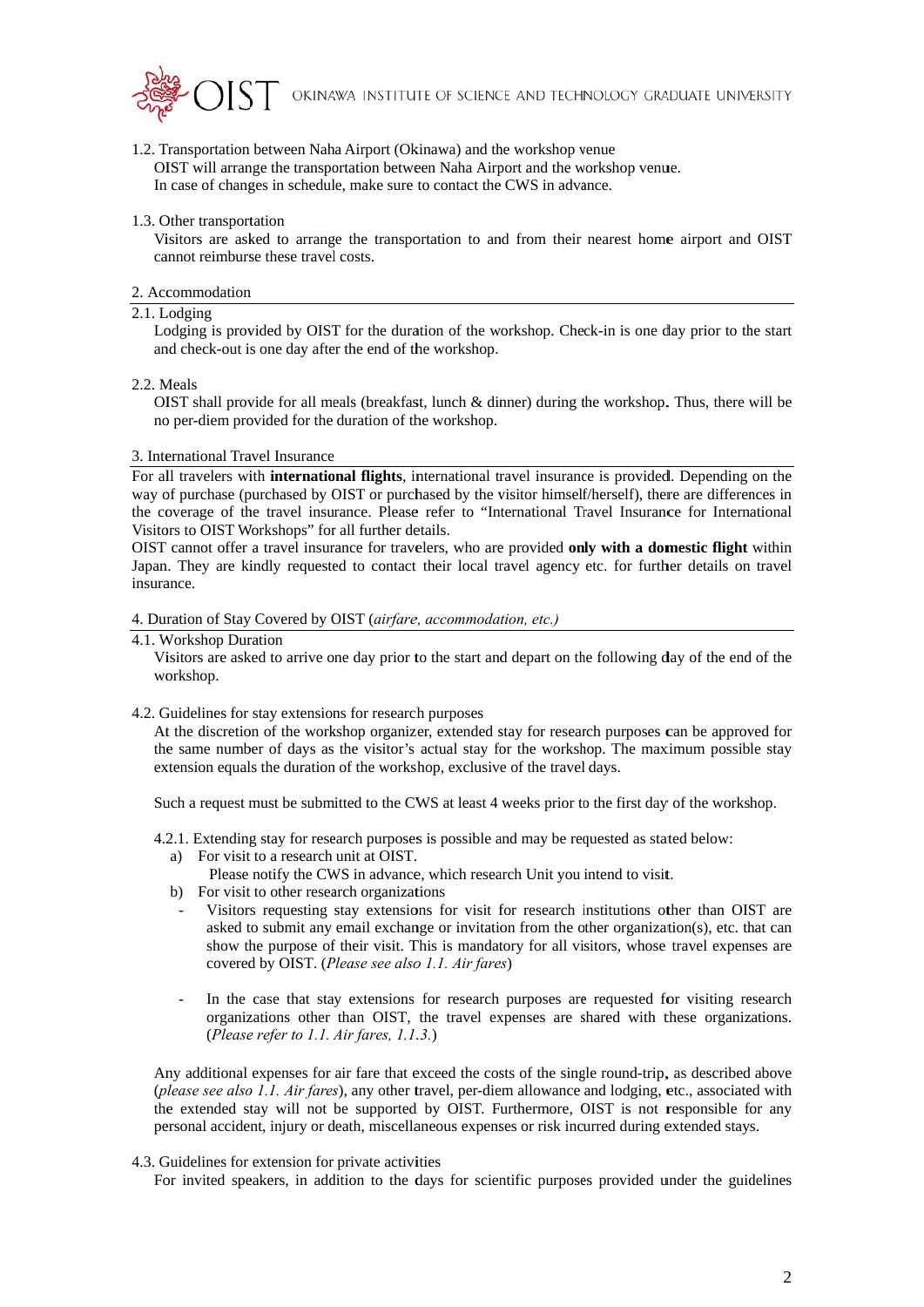

1.2. Transportation between Naha Airport (Okinawa) and the workshop venue OIST will arrange the transportation between Naha Airport and the workshop venue. In case of changes in schedule, make sure to contact the CWS in advance.

## 1.3. Other transportation

Visitors are asked to arrange the transportation to and from their nearest home airport and OIST cannot reimburse these travel costs.

#### 2. Accommodation

## 2.1. Lodging

Lodging is provided by OIST for the duration of the workshop. Check-in is one day prior to the start and check-out is one day after the end of the workshop.

#### 2.2. Meals

OIST shall provide for all meals (breakfast, lunch  $&$  dinner) during the workshop. Thus, there will be no per-diem provided for the duration of the workshop.

#### 3. International Travel Insurance

For all travelers with **international flights**, international travel insurance is provided. Depending on the way of purchase (purchased by OIST or purchased by the visitor himself/herself), there are differences in the coverage of the travel insurance. Please refer to "International Travel Insurance for International Visitors to OIST Workshops" for all further details.

OIST cannot offer a travel insurance for travelers, who are provided only with a domestic flight within Japan. They are kindly requested to contact their local travel agency etc. for further details on travel insurance

#### 4. Duration of Stay Covered by OIST (airfare, accommodation, etc.)

### 4.1. Workshop Duration

Visitors are asked to arrive one day prior to the start and depart on the following day of the end of the workshop.

## 4.2. Guidelines for stay extensions for research purposes

At the discretion of the workshop organizer, extended stay for research purposes can be approved for the same number of days as the visitor's actual stay for the workshop. The maximum possible stay extension equals the duration of the workshop, exclusive of the travel days.

Such a request must be submitted to the CWS at least 4 weeks prior to the first day of the workshop.

- 4.2.1. Extending stay for research purposes is possible and may be requested as stated below:
	- a) For visit to a research unit at OIST.
		- Please notify the CWS in advance, which research Unit you intend to visit.
	- b) For visit to other research organizations
	- Visitors requesting stay extensions for visit for research institutions other than OIST are asked to submit any email exchange or invitation from the other organization(s), etc. that can show the purpose of their visit. This is mandatory for all visitors, whose travel expenses are covered by OIST. (Please see also 1.1. Air fares)
	- In the case that stay extensions for research purposes are requested for visiting research organizations other than OIST, the travel expenses are shared with these organizations. (Please refer to 1.1. Air fares, 1.1.3.)

Any additional expenses for air fare that exceed the costs of the single round-trip, as described above (please see also 1.1. Air fares), any other travel, per-diem allowance and lodging, etc., associated with the extended stay will not be supported by OIST. Furthermore, OIST is not responsible for any personal accident, injury or death, miscellaneous expenses or risk incurred during extended stays.

#### 4.3. Guidelines for extension for private activities

For invited speakers, in addition to the days for scientific purposes provided under the guidelines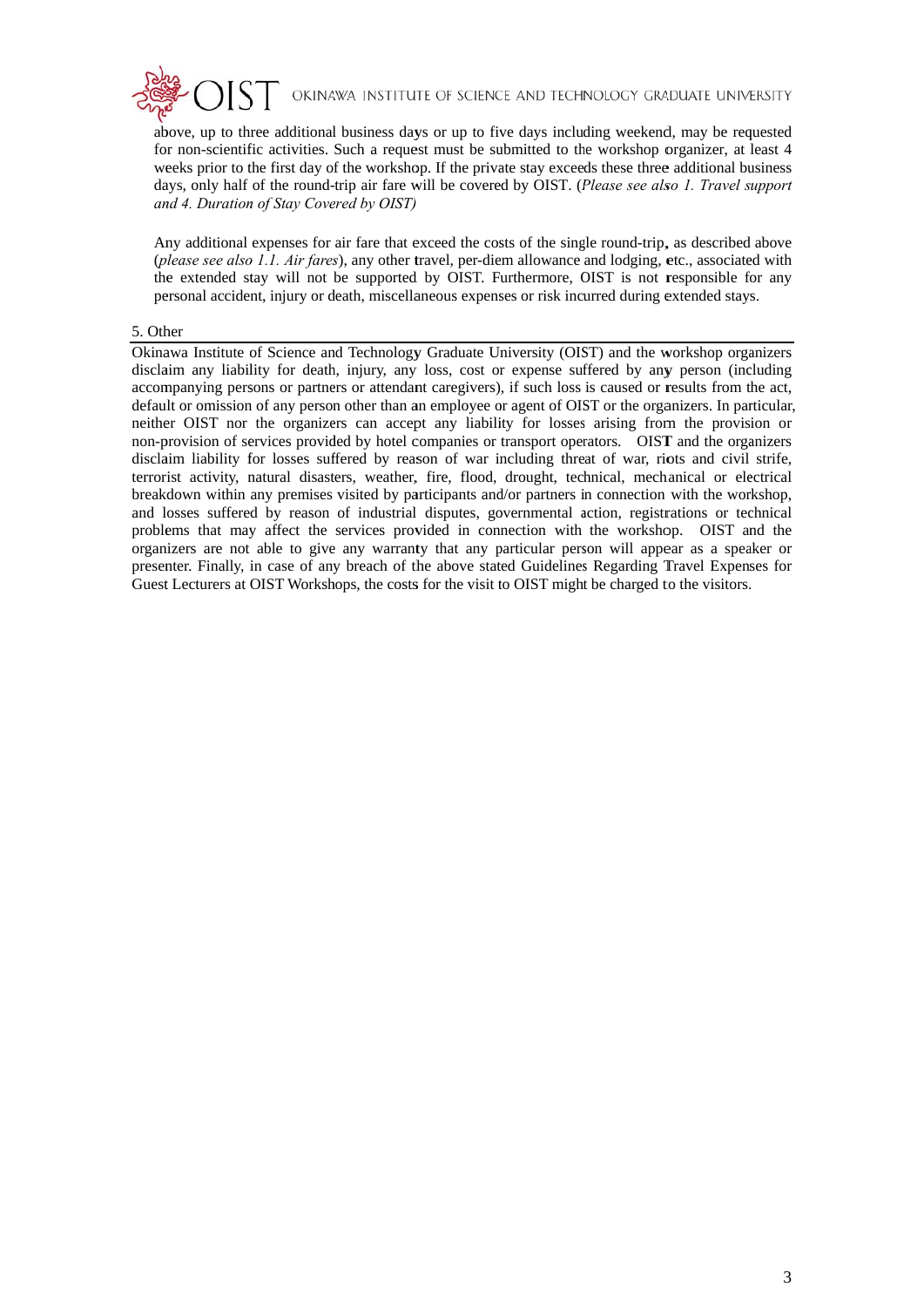

above, up to three additional business days or up to five days including weekend, may be requested for non-scientific activities. Such a request must be submitted to the workshop organizer, at least 4 weeks prior to the first day of the workshop. If the private stay exceeds these three additional business days, only half of the round-trip air fare will be covered by OIST. (Please see also 1. Travel support and 4. Duration of Stay Covered by OIST)

Any additional expenses for air fare that exceed the costs of the single round-trip, as described above (please see also 1.1. Air fares), any other travel, per-diem allowance and lodging, etc., associated with the extended stay will not be supported by OIST. Furthermore, OIST is not responsible for any personal accident, injury or death, miscellaneous expenses or risk incurred during extended stays.

## 5. Other

Okinawa Institute of Science and Technology Graduate University (OIST) and the workshop organizers disclaim any liability for death, injury, any loss, cost or expense suffered by any person (including accompanying persons or partners or attendant caregivers), if such loss is caused or results from the act. default or omission of any person other than an employee or agent of OIST or the organizers. In particular, neither OIST nor the organizers can accept any liability for losses arising from the provision or non-provision of services provided by hotel companies or transport operators. OIST and the organizers disclaim liability for losses suffered by reason of war including threat of war, riots and civil strife, terrorist activity, natural disasters, weather, fire, flood, drought, technical, mechanical or electrical breakdown within any premises visited by participants and/or partners in connection with the workshop, and losses suffered by reason of industrial disputes, governmental action, registrations or technical problems that may affect the services provided in connection with the workshop. OIST and the organizers are not able to give any warranty that any particular person will appear as a speaker or presenter. Finally, in case of any breach of the above stated Guidelines Regarding Travel Expenses for Guest Lecturers at OIST Workshops, the costs for the visit to OIST might be charged to the visitors.